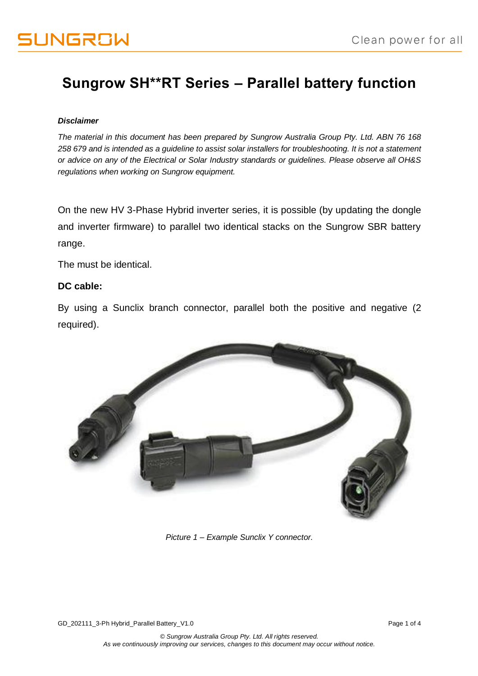### **Sungrow SH\*\*RT Series – Parallel battery function**

### *Disclaimer*

*The material in this document has been prepared by Sungrow Australia Group Pty. Ltd. ABN 76 168 258 679 and is intended as a guideline to assist solar installers for troubleshooting. It is not a statement or advice on any of the Electrical or Solar Industry standards or guidelines. Please observe all OH&S regulations when working on Sungrow equipment.*

On the new HV 3-Phase Hybrid inverter series, it is possible (by updating the dongle and inverter firmware) to parallel two identical stacks on the Sungrow SBR battery range.

The must be identical.

### **DC cable:**

By using a Sunclix branch connector, parallel both the positive and negative (2 required).



*Picture 1 – Example Sunclix Y connector.*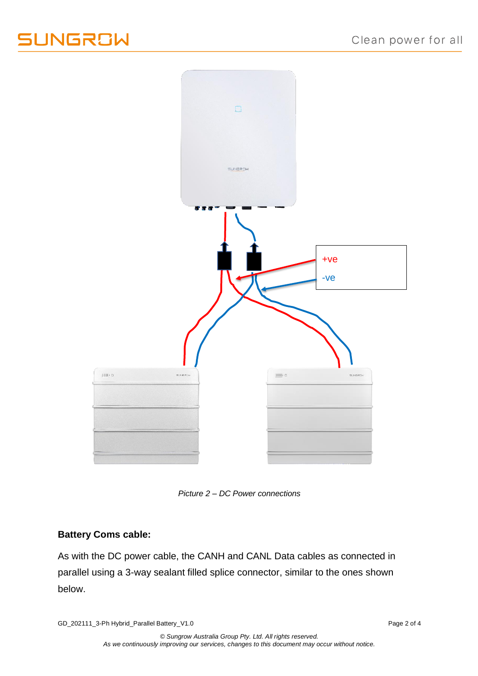## UNGROW



*Picture 2 – DC Power connections*

### **Battery Coms cable:**

As with the DC power cable, the CANH and CANL Data cables as connected in parallel using a 3-way sealant filled splice connector, similar to the ones shown below.

GD\_202111\_3-Ph Hybrid\_Parallel Battery\_V1.0 example of 4 and 2 of 4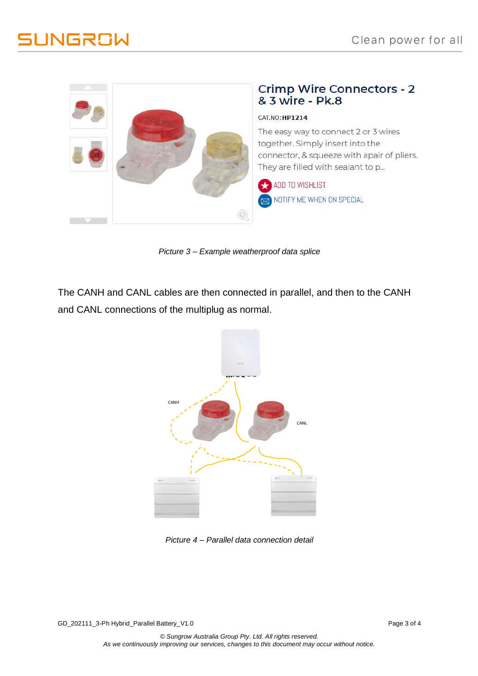



# Crimp Wire Connectors - 2<br>& 3 wire - Pk.8

### CAT.NO:HP1214

The easy way to connect 2 or 3 wires together. Simply insert into the connector, & squeeze with apair of pliers. They are filled with sealant to p...

ADD TO WISHLIST NOTIFY ME WHEN ON SPECIAL

*Picture 3 – Example weatherproof data splice*

The CANH and CANL cables are then connected in parallel, and then to the CANH and CANL connections of the multiplug as normal.



*Picture 4 – Parallel data connection detail*